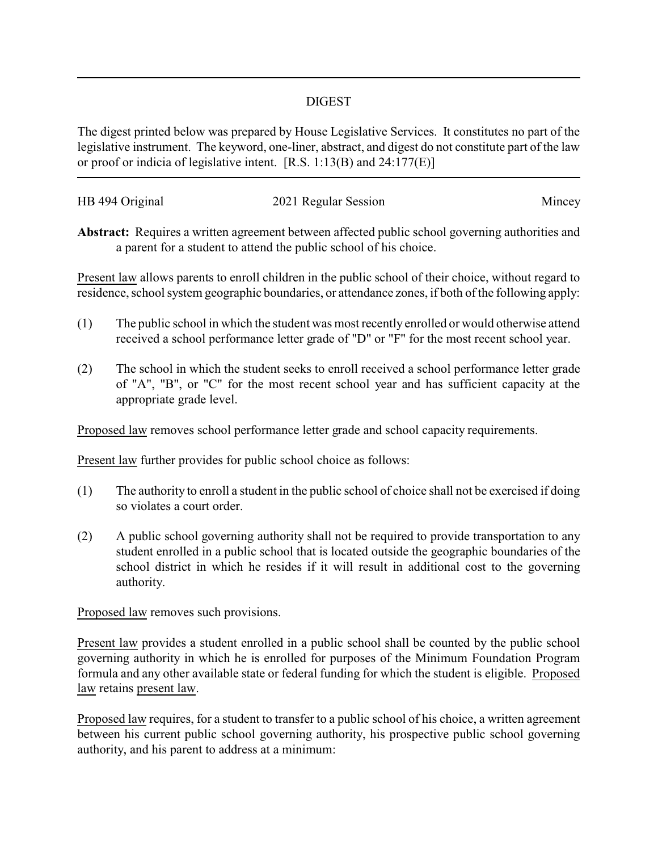## DIGEST

The digest printed below was prepared by House Legislative Services. It constitutes no part of the legislative instrument. The keyword, one-liner, abstract, and digest do not constitute part of the law or proof or indicia of legislative intent. [R.S. 1:13(B) and 24:177(E)]

| HB 494 Original | 2021 Regular Session | Mincey |
|-----------------|----------------------|--------|

**Abstract:** Requires a written agreement between affected public school governing authorities and a parent for a student to attend the public school of his choice.

Present law allows parents to enroll children in the public school of their choice, without regard to residence, school system geographic boundaries, or attendance zones, if both of the following apply:

- (1) The public school in which the student was most recently enrolled or would otherwise attend received a school performance letter grade of "D" or "F" for the most recent school year.
- (2) The school in which the student seeks to enroll received a school performance letter grade of "A", "B", or "C" for the most recent school year and has sufficient capacity at the appropriate grade level.

Proposed law removes school performance letter grade and school capacity requirements.

Present law further provides for public school choice as follows:

- (1) The authority to enroll a student in the public school of choice shall not be exercised if doing so violates a court order.
- (2) A public school governing authority shall not be required to provide transportation to any student enrolled in a public school that is located outside the geographic boundaries of the school district in which he resides if it will result in additional cost to the governing authority.

Proposed law removes such provisions.

Present law provides a student enrolled in a public school shall be counted by the public school governing authority in which he is enrolled for purposes of the Minimum Foundation Program formula and any other available state or federal funding for which the student is eligible. Proposed law retains present law.

Proposed law requires, for a student to transfer to a public school of his choice, a written agreement between his current public school governing authority, his prospective public school governing authority, and his parent to address at a minimum: